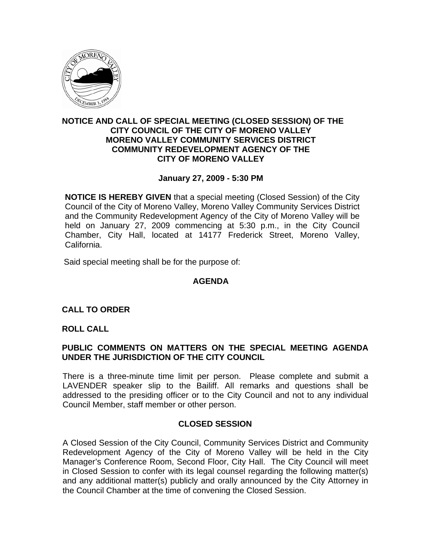

#### **NOTICE AND CALL OF SPECIAL MEETING (CLOSED SESSION) OF THE CITY COUNCIL OF THE CITY OF MORENO VALLEY MORENO VALLEY COMMUNITY SERVICES DISTRICT COMMUNITY REDEVELOPMENT AGENCY OF THE CITY OF MORENO VALLEY**

## **January 27, 2009 - 5:30 PM**

**NOTICE IS HEREBY GIVEN** that a special meeting (Closed Session) of the City Council of the City of Moreno Valley, Moreno Valley Community Services District and the Community Redevelopment Agency of the City of Moreno Valley will be held on January 27, 2009 commencing at 5:30 p.m., in the City Council Chamber, City Hall, located at 14177 Frederick Street, Moreno Valley, California.

Said special meeting shall be for the purpose of:

# **AGENDA**

#### **CALL TO ORDER**

#### **ROLL CALL**

## **PUBLIC COMMENTS ON MATTERS ON THE SPECIAL MEETING AGENDA UNDER THE JURISDICTION OF THE CITY COUNCIL**

There is a three-minute time limit per person. Please complete and submit a LAVENDER speaker slip to the Bailiff. All remarks and questions shall be addressed to the presiding officer or to the City Council and not to any individual Council Member, staff member or other person.

#### **CLOSED SESSION**

A Closed Session of the City Council, Community Services District and Community Redevelopment Agency of the City of Moreno Valley will be held in the City Manager's Conference Room, Second Floor, City Hall. The City Council will meet in Closed Session to confer with its legal counsel regarding the following matter(s) and any additional matter(s) publicly and orally announced by the City Attorney in the Council Chamber at the time of convening the Closed Session.